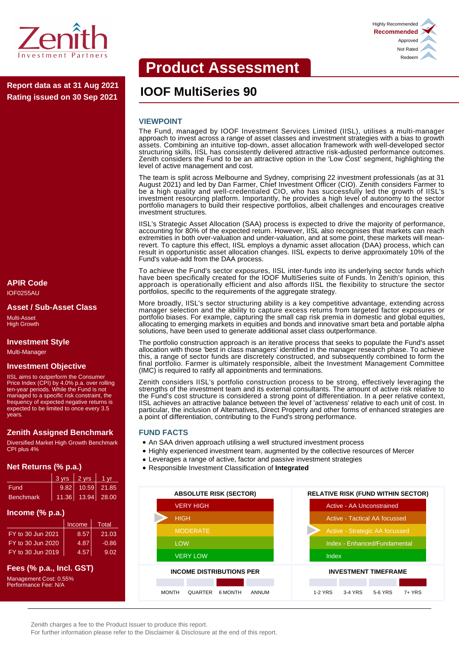

**IOOF MultiSeries 90 Report data as at 31 Aug 2021 Rating issued on 30 Sep 2021**

#### **APIR Code** IOF0255AU

#### **Asset / Sub-Asset Class**

Multi-Asset High Growth

#### **Investment Style**

Multi-Manager

#### **Investment Objective**

IISL aims to outperform the Consumer Price Index (CPI) by 4.0% p.a. over rolling ten-year periods. While the Fund is not managed to a specific risk constraint, the frequency of expected negative returns is expected to be limited to once every 3.5 years.

# **Zenith Assigned Benchmark**

Diversified Market High Growth Benchmark CPI plus 4%

# **Net Returns (% p.a.)**

|                  | $3 \text{ yrs}$ 2 yrs $1 \text{ yr}$ |  |
|------------------|--------------------------------------|--|
| Fund             | $9.82$ 10.59 21.85                   |  |
| <b>Benchmark</b> | 11.36 13.94 28.00                    |  |

# **Income (% p.a.)**

|                   | Income | Total   |
|-------------------|--------|---------|
| FY to 30 Jun 2021 | 8.57   | 21.03   |
| FY to 30 Jun 2020 | 4.87   | $-0.86$ |
| FY to 30 Jun 2019 | 4.57   | 9.02    |

# **Fees (% p.a., Incl. GST)**

Management Cost: 0.55% Performance Fee: N/A

# **Product Assessment**

### **VIEWPOINT**

The Fund, managed by IOOF Investment Services Limited (IISL), utilises a multi-manager approach to invest across a range of asset classes and investment strategies with a bias to growth assets. Combining an intuitive top-down, asset allocation framework with well-developed sector structuring skills, IISL has consistently delivered attractive risk-adjusted performance outcomes. Zenith considers the Fund to be an attractive option in the 'Low Cost' segment, highlighting the level of active management and cost.

The team is split across Melbourne and Sydney, comprising 22 investment professionals (as at 31 August 2021) and led by Dan Farmer, Chief Investment Officer (CIO). Zenith considers Farmer to be a high quality and well-credentialed CIO, who has successfully led the growth of IISL's investment resourcing platform. Importantly, he provides a high level of autonomy to the sector portfolio managers to build their respective portfolios, albeit challenges and encourages creative investment structures.

IISL's Strategic Asset Allocation (SAA) process is expected to drive the majority of performance, accounting for 80% of the expected return. However, IISL also recognises that markets can reach extremities in both over-valuation and under-valuation, and at some point, these markets will meanrevert. To capture this effect, IISL employs a dynamic asset allocation (DAA) process, which can result in opportunistic asset allocation changes. IISL expects to derive approximately 10% of the Fund's value-add from the DAA process.

To achieve the Fund's sector exposures, IISL inter-funds into its underlying sector funds which have been specifically created for the IOOF MultiSeries suite of Funds. In Zenith's opinion, this approach is operationally efficient and also affords IISL the flexibility to structure the sector portfolios, specific to the requirements of the aggregate strategy.

More broadly, IISL's sector structuring ability is a key competitive advantage, extending across manager selection and the ability to capture excess returns from targeted factor exposures or portfolio biases. For example, capturing the small cap risk premia in domestic and global equities, allocating to emerging markets in equities and bonds and innovative smart beta and portable alpha solutions, have been used to generate additional asset class outperformance.

The portfolio construction approach is an iterative process that seeks to populate the Fund's asset allocation with those 'best in class managers' identified in the manager research phase. To achieve this, a range of sector funds are discretely constructed, and subsequently combined to form the final portfolio. Farmer is ultimately responsible, albeit the Investment Management Committee (IMC) is required to ratify all appointments and terminations.

Zenith considers IISL's portfolio construction process to be strong, effectively leveraging the strengths of the investment team and its external consultants. The amount of active risk relative to the Fund's cost structure is considered a strong point of differentiation. In a peer relative context, IISL achieves an attractive balance between the level of 'activeness' relative to each unit of cost. In particular, the inclusion of Alternatives, Direct Property and other forms of enhanced strategies are a point of differentiation, contributing to the Fund's strong performance.

#### **FUND FACTS**

- An SAA driven approach utilising a well structured investment process
- Highly experienced investment team, augmented by the collective resources of Mercer
- Leverages a range of active, factor and passive investment strategies
- Responsible Investment Classification of **Integrated**



Zenith charges a fee to the Product Issuer to produce this report.

For further information please refer to the Disclaimer & Disclosure at the end of this report.

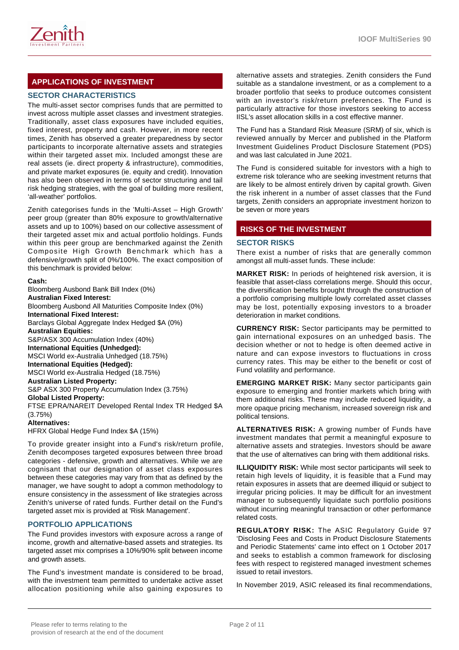

# **APPLICATIONS OF INVESTMENT**

# **SECTOR CHARACTERISTICS**

The multi-asset sector comprises funds that are permitted to invest across multiple asset classes and investment strategies. Traditionally, asset class exposures have included equities, fixed interest, property and cash. However, in more recent times, Zenith has observed a greater preparedness by sector participants to incorporate alternative assets and strategies within their targeted asset mix. Included amongst these are real assets (ie. direct property & infrastructure), commodities, and private market exposures (ie. equity and credit). Innovation has also been observed in terms of sector structuring and tail risk hedging strategies, with the goal of building more resilient, 'all-weather' portfolios.

Zenith categorises funds in the 'Multi-Asset – High Growth' peer group (greater than 80% exposure to growth/alternative assets and up to 100%) based on our collective assessment of their targeted asset mix and actual portfolio holdings. Funds within this peer group are benchmarked against the Zenith Composite High Growth Benchmark which has a defensive/growth split of 0%/100%. The exact composition of this benchmark is provided below:

#### **Cash:**

Bloomberg Ausbond Bank Bill Index (0%) **Australian Fixed Interest:** Bloomberg Ausbond All Maturities Composite Index (0%) **International Fixed Interest:** Barclays Global Aggregate Index Hedged \$A (0%) **Australian Equities:** S&P/ASX 300 Accumulation Index (40%) **International Equities (Unhedged):** MSCI World ex-Australia Unhedged (18.75%) **International Equities (Hedged):** MSCI World ex-Australia Hedged (18.75%) **Australian Listed Property:** S&P ASX 300 Property Accumulation Index (3.75%) **Global Listed Property:** FTSE EPRA/NAREIT Developed Rental Index TR Hedged \$A (3.75%) **Alternatives:** HFRX Global Hedge Fund Index \$A (15%)

To provide greater insight into a Fund's risk/return profile, Zenith decomposes targeted exposures between three broad categories - defensive, growth and alternatives. While we are cognisant that our designation of asset class exposures between these categories may vary from that as defined by the manager, we have sought to adopt a common methodology to ensure consistency in the assessment of like strategies across Zenith's universe of rated funds. Further detail on the Fund's targeted asset mix is provided at 'Risk Management'.

#### **PORTFOLIO APPLICATIONS**

The Fund provides investors with exposure across a range of income, growth and alternative-based assets and strategies. Its targeted asset mix comprises a 10%/90% split between income and growth assets.

The Fund's investment mandate is considered to be broad, with the investment team permitted to undertake active asset allocation positioning while also gaining exposures to

alternative assets and strategies. Zenith considers the Fund suitable as a standalone investment, or as a complement to a broader portfolio that seeks to produce outcomes consistent with an investor's risk/return preferences. The Fund is particularly attractive for those investors seeking to access IISL's asset allocation skills in a cost effective manner.

The Fund has a Standard Risk Measure (SRM) of six, which is reviewed annually by Mercer and published in the Platform Investment Guidelines Product Disclosure Statement (PDS) and was last calculated in June 2021.

The Fund is considered suitable for investors with a high to extreme risk tolerance who are seeking investment returns that are likely to be almost entirely driven by capital growth. Given the risk inherent in a number of asset classes that the Fund targets, Zenith considers an appropriate investment horizon to be seven or more years

# **RISKS OF THE INVESTMENT**

#### **SECTOR RISKS**

There exist a number of risks that are generally common amongst all multi-asset funds. These include:

**MARKET RISK:** In periods of heightened risk aversion, it is feasible that asset-class correlations merge. Should this occur, the diversification benefits brought through the construction of a portfolio comprising multiple lowly correlated asset classes may be lost, potentially exposing investors to a broader deterioration in market conditions.

**CURRENCY RISK:** Sector participants may be permitted to gain international exposures on an unhedged basis. The decision whether or not to hedge is often deemed active in nature and can expose investors to fluctuations in cross currency rates. This may be either to the benefit or cost of Fund volatility and performance.

**EMERGING MARKET RISK:** Many sector participants gain exposure to emerging and frontier markets which bring with them additional risks. These may include reduced liquidity, a more opaque pricing mechanism, increased sovereign risk and political tensions.

**ALTERNATIVES RISK:** A growing number of Funds have investment mandates that permit a meaningful exposure to alternative assets and strategies. Investors should be aware that the use of alternatives can bring with them additional risks.

**ILLIQUIDITY RISK:** While most sector participants will seek to retain high levels of liquidity, it is feasible that a Fund may retain exposures in assets that are deemed illiquid or subject to irregular pricing policies. It may be difficult for an investment manager to subsequently liquidate such portfolio positions without incurring meaningful transaction or other performance related costs.

**REGULATORY RISK:** The ASIC Regulatory Guide 97 'Disclosing Fees and Costs in Product Disclosure Statements and Periodic Statements' came into effect on 1 October 2017 and seeks to establish a common framework for disclosing fees with respect to registered managed investment schemes issued to retail investors.

In November 2019, ASIC released its final recommendations,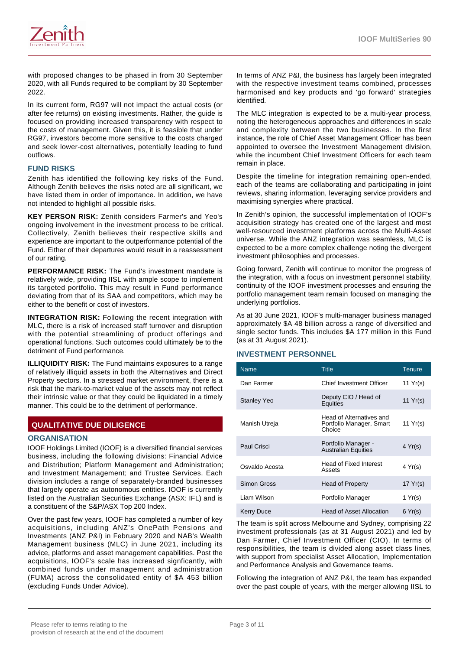

with proposed changes to be phased in from 30 September 2020, with all Funds required to be compliant by 30 September 2022.

In its current form, RG97 will not impact the actual costs (or after fee returns) on existing investments. Rather, the guide is focused on providing increased transparency with respect to the costs of management. Given this, it is feasible that under RG97, investors become more sensitive to the costs charged and seek lower-cost alternatives, potentially leading to fund outflows.

### **FUND RISKS**

Zenith has identified the following key risks of the Fund. Although Zenith believes the risks noted are all significant, we have listed them in order of importance. In addition, we have not intended to highlight all possible risks.

**KEY PERSON RISK:** Zenith considers Farmer's and Yeo's ongoing involvement in the investment process to be critical. Collectively, Zenith believes their respective skills and experience are important to the outperformance potential of the Fund. Either of their departures would result in a reassessment of our rating.

**PERFORMANCE RISK:** The Fund's investment mandate is relatively wide, providing IISL with ample scope to implement its targeted portfolio. This may result in Fund performance deviating from that of its SAA and competitors, which may be either to the benefit or cost of investors.

**INTEGRATION RISK:** Following the recent integration with MLC, there is a risk of increased staff turnover and disruption with the potential streamlining of product offerings and operational functions. Such outcomes could ultimately be to the detriment of Fund performance.

**ILLIQUIDITY RISK:** The Fund maintains exposures to a range of relatively illiquid assets in both the Alternatives and Direct Property sectors. In a stressed market environment, there is a risk that the mark-to-market value of the assets may not reflect their intrinsic value or that they could be liquidated in a timely manner. This could be to the detriment of performance.

# **QUALITATIVE DUE DILIGENCE**

#### **ORGANISATION**

IOOF Holdings Limited (IOOF) is a diversified financial services business, including the following divisions: Financial Advice and Distribution; Platform Management and Administration; and Investment Management; and Trustee Services. Each division includes a range of separately-branded businesses that largely operate as autonomous entities. IOOF is currently listed on the Australian Securities Exchange (ASX: IFL) and is a constituent of the S&P/ASX Top 200 Index.

Over the past few years, IOOF has completed a number of key acquisitions, including ANZ's OnePath Pensions and Investments (ANZ P&I) in February 2020 and NAB's Wealth Management business (MLC) in June 2021, including its advice, platforms and asset management capabilities. Post the acquisitions, IOOF's scale has increased signficantly, with combined funds under management and administration (FUMA) across the consolidated entity of \$A 453 billion (excluding Funds Under Advice).

In terms of ANZ P&I, the business has largely been integrated with the respective investment teams combined, processes harmonised and key products and 'go forward' strategies identified.

The MLC integration is expected to be a multi-year process, noting the heterogeneous approaches and differences in scale and complexity between the two businesses. In the first instance, the role of Chief Asset Management Officer has been appointed to oversee the Investment Management division, while the incumbent Chief Investment Officers for each team remain in place.

Despite the timeline for integration remaining open-ended, each of the teams are collaborating and participating in joint reviews, sharing information, leveraging service providers and maximising synergies where practical.

In Zenith's opinion, the successful implementation of IOOF's acquisition strategy has created one of the largest and most well-resourced investment platforms across the Multi-Asset universe. While the ANZ integration was seamless, MLC is expected to be a more complex challenge noting the divergent investment philosophies and processes.

Going forward, Zenith will continue to monitor the progress of the integration, with a focus on investment personnel stability, continuity of the IOOF investment processes and ensuring the portfolio management team remain focused on managing the underlying portfolios.

As at 30 June 2021, IOOF's multi-manager business managed approximately \$A 48 billion across a range of diversified and single sector funds. This includes \$A 177 million in this Fund (as at 31 August 2021).

#### **INVESTMENT PERSONNEL**

| <b>Name</b>        | <b>Title</b>                                                   | <b>Tenure</b>    |
|--------------------|----------------------------------------------------------------|------------------|
| Dan Farmer         | Chief Investment Officer                                       | 11 $Yr(s)$       |
| <b>Stanley Yeo</b> | Deputy CIO / Head of<br>Equities                               | 11 $Yr(s)$       |
| Manish Utreja      | Head of Alternatives and<br>Portfolio Manager, Smart<br>Choice | 11 Yr(s)         |
| Paul Crisci        | Portfolio Manager -<br><b>Australian Equities</b>              | $4 \text{Yr(s)}$ |
| Osvaldo Acosta     | Head of Fixed Interest<br>Assets                               | 4 Yr(s)          |
| Simon Gross        | Head of Property                                               | 17 $Yr(s)$       |
| Liam Wilson        | Portfolio Manager                                              | 1 Yr(s)          |
| Kerry Duce         | <b>Head of Asset Allocation</b>                                | 6 Yr(s)          |

The team is split across Melbourne and Sydney, comprising 22 investment professionals (as at 31 August 2021) and led by Dan Farmer, Chief Investment Officer (CIO). In terms of responsibilities, the team is divided along asset class lines, with support from specialist Asset Allocation, Implementation and Performance Analysis and Governance teams.

Following the integration of ANZ P&I, the team has expanded over the past couple of years, with the merger allowing IISL to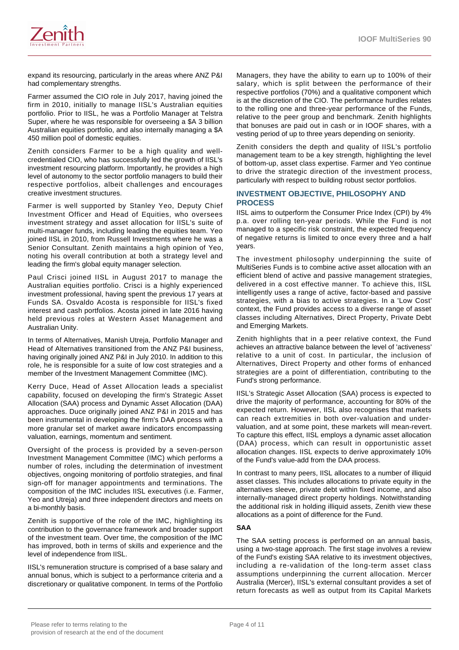

expand its resourcing, particularly in the areas where ANZ P&I had complementary strengths.

Farmer assumed the CIO role in July 2017, having joined the firm in 2010, initially to manage IISL's Australian equities portfolio. Prior to IISL, he was a Portfolio Manager at Telstra Super, where he was responsible for overseeing a \$A 3 billion Australian equities portfolio, and also internally managing a \$A 450 million pool of domestic equities.

Zenith considers Farmer to be a high quality and wellcredentialed CIO, who has successfully led the growth of IISL's investment resourcing platform. Importantly, he provides a high level of autonomy to the sector portfolio managers to build their respective portfolios, albeit challenges and encourages creative investment structures.

Farmer is well supported by Stanley Yeo, Deputy Chief Investment Officer and Head of Equities, who oversees investment strategy and asset allocation for IISL's suite of multi-manager funds, including leading the equities team. Yeo joined IISL in 2010, from Russell Investments where he was a Senior Consultant. Zenith maintains a high opinion of Yeo, noting his overall contribution at both a strategy level and leading the firm's global equity manager selection.

Paul Crisci joined IISL in August 2017 to manage the Australian equities portfolio. Crisci is a highly experienced investment professional, having spent the previous 17 years at Funds SA. Osvaldo Acosta is responsible for IISL's fixed interest and cash portfolios. Acosta joined in late 2016 having held previous roles at Western Asset Management and Australian Unity.

In terms of Alternatives, Manish Utreja, Portfolio Manager and Head of Alternatives transitioned from the ANZ P&I business, having originally joined ANZ P&I in July 2010. In addition to this role, he is responsible for a suite of low cost strategies and a member of the Investment Management Committee (IMC).

Kerry Duce, Head of Asset Allocation leads a specialist capability, focused on developing the firm's Strategic Asset Allocation (SAA) process and Dynamic Asset Allocation (DAA) approaches. Duce originally joined ANZ P&I in 2015 and has been instrumental in developing the firm's DAA process with a more granular set of market aware indicators encompassing valuation, earnings, momentum and sentiment.

Oversight of the process is provided by a seven-person Investment Management Committee (IMC) which performs a number of roles, including the determination of investment objectives, ongoing monitoring of portfolio strategies, and final sign-off for manager appointments and terminations. The composition of the IMC includes IISL executives (i.e. Farmer, Yeo and Utreja) and three independent directors and meets on a bi-monthly basis.

Zenith is supportive of the role of the IMC, highlighting its contribution to the governance framework and broader support of the investment team. Over time, the composition of the IMC has improved, both in terms of skills and experience and the level of independence from IISL.

IISL's remuneration structure is comprised of a base salary and annual bonus, which is subject to a performance criteria and a discretionary or qualitative component. In terms of the Portfolio

Managers, they have the ability to earn up to 100% of their salary, which is split between the performance of their respective portfolios (70%) and a qualitative component which is at the discretion of the CIO. The performance hurdles relates to the rolling one and three-year performance of the Funds, relative to the peer group and benchmark. Zenith highlights that bonuses are paid out in cash or in IOOF shares, with a vesting period of up to three years depending on seniority.

Zenith considers the depth and quality of IISL's portfolio management team to be a key strength, highlighting the level of bottom-up, asset class expertise. Farmer and Yeo continue to drive the strategic direction of the investment process, particularly with respect to building robust sector portfolios.

#### **INVESTMENT OBJECTIVE, PHILOSOPHY AND PROCESS**

IISL aims to outperform the Consumer Price Index (CPI) by 4% p.a. over rolling ten-year periods. While the Fund is not managed to a specific risk constraint, the expected frequency of negative returns is limited to once every three and a half years.

The investment philosophy underpinning the suite of MultiSeries Funds is to combine active asset allocation with an efficient blend of active and passive management strategies, delivered in a cost effective manner. To achieve this, IISL intelligently uses a range of active, factor-based and passive strategies, with a bias to active strategies. In a 'Low Cost' context, the Fund provides access to a diverse range of asset classes including Alternatives, Direct Property, Private Debt and Emerging Markets.

Zenith highlights that in a peer relative context, the Fund achieves an attractive balance between the level of 'activeness' relative to a unit of cost. In particular, the inclusion of Alternatives, Direct Property and other forms of enhanced strategies are a point of differentiation, contributing to the Fund's strong performance.

IISL's Strategic Asset Allocation (SAA) process is expected to drive the majority of performance, accounting for 80% of the expected return. However, IISL also recognises that markets can reach extremities in both over-valuation and undervaluation, and at some point, these markets will mean-revert. To capture this effect, IISL employs a dynamic asset allocation (DAA) process, which can result in opportunistic asset allocation changes. IISL expects to derive approximately 10% of the Fund's value-add from the DAA process.

In contrast to many peers, IISL allocates to a number of illiquid asset classes. This includes allocations to private equity in the alternatives sleeve, private debt within fixed income, and also internally-managed direct property holdings. Notwithstanding the additional risk in holding illiquid assets, Zenith view these allocations as a point of difference for the Fund.

#### **SAA**

The SAA setting process is performed on an annual basis, using a two-stage approach. The first stage involves a review of the Fund's existing SAA relative to its investment objectives, including a re-validation of the long-term asset class assumptions underpinning the current allocation. Mercer Australia (Mercer), IISL's external consultant provides a set of return forecasts as well as output from its Capital Markets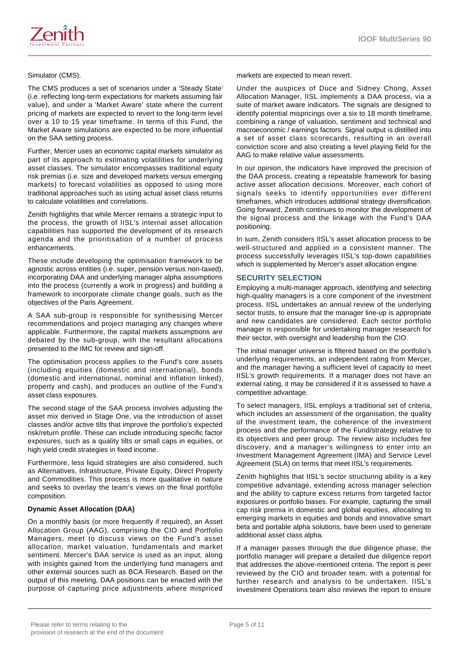

The CMS produces a set of scenarios under a 'Steady State' (i.e. reflecting long-term expectations for markets assuming fair value), and under a 'Market Aware' state where the current pricing of markets are expected to revert to the long-term level over a 10 to 15 year timeframe. In terms of this Fund, the Market Aware simulations are expected to be more influential on the SAA setting process.

Further, Mercer uses an economic capital markets simulator as part of its approach to estimating volatilities for underlying asset classes. The simulator encompasses traditional equity risk premias (i.e. size and developed markets versus emerging markets) to forecast volatilities as opposed to using more traditional approaches such as using actual asset class returns to calculate volatilities and correlations.

Zenith highlights that while Mercer remains a strategic input to the process, the growth of IISL's internal asset allocation capabilities has supported the development of its research agenda and the prioritisation of a number of process enhancements.

These include developing the optimisation framework to be agnostic across entities (i.e. super, pension versus non-taxed), incorporating DAA and underlying manager alpha assumptions into the process (currently a work in progress) and building a framework to incorporate climate change goals, such as the objectives of the Paris Agreement.

A SAA sub-group is responsible for synthesising Mercer recommendations and project managing any changes where applicable. Furthermore, the capital markets assumptions are debated by the sub-group, with the resultant allocations presented to the IMC for review and sign-off.

The optimisation process applies to the Fund's core assets (including equities (domestic and international), bonds (domestic and international, nominal and inflation linked), property and cash), and produces an outline of the Fund's asset class exposures.

The second stage of the SAA process involves adjusting the asset mix derived in Stage One, via the introduction of asset classes and/or active tilts that improve the portfolio's expected risk/return profile. These can include introducing specific factor exposures, such as a quality tilts or small caps in equities, or high yield credit strategies in fixed income.

Furthermore, less liquid strategies are also considered, such as Alternatives, Infrastructure, Private Equity, Direct Property and Commodities. This process is more qualitative in nature and seeks to overlay the team's views on the final portfolio composition.

#### **Dynamic Asset Allocation (DAA)**

On a monthly basis (or more frequently if required), an Asset Allocation Group (AAG), comprising the CIO and Portfolio Managers, meet to discuss views on the Fund's asset allocation, market valuation, fundamentals and market sentiment. Mercer's DAA service is used as an input, along with insights gained from the underlying fund managers and other external sources such as BCA Research. Based on the output of this meeting, DAA positions can be enacted with the purpose of capturing price adjustments where mispriced

markets are expected to mean revert.

Under the auspices of Duce and Sidney Chong, Asset Allocation Manager, IISL implements a DAA process, via a suite of market aware indicators. The signals are designed to identify potential mispricings over a six to 18 month timeframe, combining a range of valuation, sentiment and technical and macroeconomic / earnings factors. Signal output is distilled into a set of asset class scorecards, resulting in an overall conviction score and also creating a level playing field for the AAG to make relative value assessments.

In our opinion, the indicators have improved the precision of the DAA process, creating a repeatable framework for basing active asset allocation decisions. Moreover, each cohort of signals seeks to identify opportunities over different timeframes, which introduces additional strategy diversification. Going forward, Zenith continues to monitor the development of the signal process and the linkage with the Fund's DAA positioning.

In sum, Zenith considers IISL's asset allocation process to be well-structured and applied in a consistent manner. The process successfully leverages IISL's top-down capabilities which is supplemented by Mercer's asset allocation engine.

### **SECURITY SELECTION**

Employing a multi-manager approach, identifying and selecting high-quality managers is a core component of the investment process. IISL undertakes an annual review of the underlying sector trusts, to ensure that the manager line-up is appropriate and new candidates are considered. Each sector portfolio manager is responsible for undertaking manager research for their sector, with oversight and leadership from the CIO.

The initial manager universe is filtered based on the portfolio's underlying requirements, an independent rating from Mercer, and the manager having a sufficient level of capacity to meet IISL's growth requirements. If a manager does not have an external rating, it may be considered if it is assessed to have a competitive advantage.

To select managers, IISL employs a traditional set of criteria, which includes an assessment of the organisation, the quality of the investment team, the coherence of the investment process and the performance of the Fund/strategy relative to its objectives and peer group. The review also includes fee discovery, and a manager's willingness to enter into an Investment Management Agreement (IMA) and Service Level Agreement (SLA) on terms that meet IISL's requirements.

Zenith highlights that IISL's sector structuring ability is a key competitive advantage, extending across manager selection and the ability to capture excess returns from targeted factor exposures or portfolio biases. For example, capturing the small cap risk premia in domestic and global equities, allocating to emerging markets in equities and bonds and innovative smart beta and portable alpha solutions, have been used to generate additional asset class alpha.

If a manager passes through the due diligence phase, the portfolio manager will prepare a detailed due diligence report that addresses the above-mentioned criteria. The report is peer reviewed by the CIO and broader team, with a potential for further research and analysis to be undertaken. IISL's Investment Operations team also reviews the report to ensure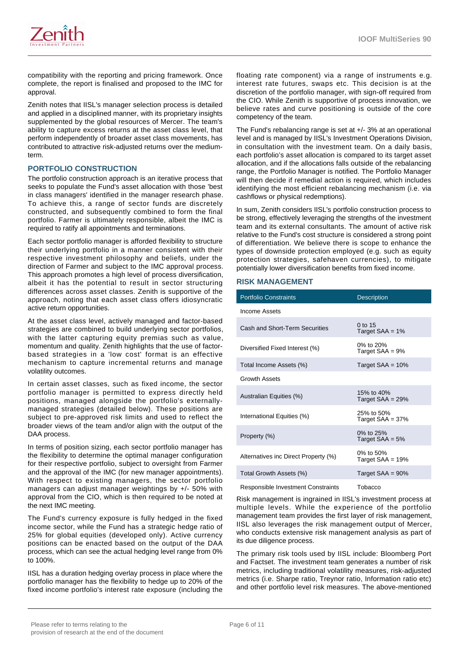

compatibility with the reporting and pricing framework. Once complete, the report is finalised and proposed to the IMC for approval.

Zenith notes that IISL's manager selection process is detailed and applied in a disciplined manner, with its proprietary insights supplemented by the global resources of Mercer. The team's ability to capture excess returns at the asset class level, that perform independently of broader asset class movements, has contributed to attractive risk-adjusted returns over the mediumterm.

#### **PORTFOLIO CONSTRUCTION**

The portfolio construction approach is an iterative process that seeks to populate the Fund's asset allocation with those 'best in class managers' identified in the manager research phase. To achieve this, a range of sector funds are discretely constructed, and subsequently combined to form the final portfolio. Farmer is ultimately responsible, albeit the IMC is required to ratify all appointments and terminations.

Each sector portfolio manager is afforded flexibility to structure their underlying portfolio in a manner consistent with their respective investment philosophy and beliefs, under the direction of Farmer and subject to the IMC approval process. This approach promotes a high level of process diversification, albeit it has the potential to result in sector structuring differences across asset classes. Zenith is supportive of the approach, noting that each asset class offers idiosyncratic active return opportunities.

At the asset class level, actively managed and factor-based strategies are combined to build underlying sector portfolios, with the latter capturing equity premias such as value, momentum and quality. Zenith highlights that the use of factorbased strategies in a 'low cost' format is an effective mechanism to capture incremental returns and manage volatility outcomes.

In certain asset classes, such as fixed income, the sector portfolio manager is permitted to express directly held positions, managed alongside the portfolio's externallymanaged strategies (detailed below). These positions are subject to pre-approved risk limits and used to reflect the broader views of the team and/or align with the output of the DAA process.

In terms of position sizing, each sector portfolio manager has the flexibility to determine the optimal manager configuration for their respective portfolio, subject to oversight from Farmer and the approval of the IMC (for new manager appointments). With respect to existing managers, the sector portfolio managers can adjust manager weightings by +/- 50% with approval from the CIO, which is then required to be noted at the next IMC meeting.

The Fund's currency exposure is fully hedged in the fixed income sector, while the Fund has a strategic hedge ratio of 25% for global equities (developed only). Active currency positions can be enacted based on the output of the DAA process, which can see the actual hedging level range from 0% to 100%.

IISL has a duration hedging overlay process in place where the portfolio manager has the flexibility to hedge up to 20% of the fixed income portfolio's interest rate exposure (including the floating rate component) via a range of instruments e.g. interest rate futures, swaps etc. This decision is at the discretion of the portfolio manager, with sign-off required from the CIO. While Zenith is supportive of process innovation, we believe rates and curve positioning is outside of the core competency of the team.

The Fund's rebalancing range is set at +/- 3% at an operational level and is managed by IISL's Investment Operations Division, in consultation with the investment team. On a daily basis, each portfolio's asset allocation is compared to its target asset allocation, and if the allocations falls outside of the rebalancing range, the Portfolio Manager is notified. The Portfolio Manager will then decide if remedial action is required, which includes identifying the most efficient rebalancing mechanism (i.e. via cashflows or physical redemptions).

In sum, Zenith considers IISL's portfolio construction process to be strong, effectively leveraging the strengths of the investment team and its external consultants. The amount of active risk relative to the Fund's cost structure is considered a strong point of differentiation. We believe there is scope to enhance the types of downside protection employed (e.g. such as equity protection strategies, safehaven currencies), to mitigate potentially lower diversification benefits from fixed income.

#### **RISK MANAGEMENT**

| <b>Portfolio Constraints</b>         | <b>Description</b>                |
|--------------------------------------|-----------------------------------|
| Income Assets                        |                                   |
| Cash and Short-Term Securities       | $0$ to 15<br>Target $SAA = 1%$    |
| Diversified Fixed Interest (%)       | 0% to 20%<br>Target $SAA = 9%$    |
| Total Income Assets (%)              | Target $SAA = 10%$                |
| <b>Growth Assets</b>                 |                                   |
| Australian Equities (%)              | 15% to 40%<br>Target $SAA = 29%$  |
| International Equities (%)           | 25% to 50%<br>Target $SAA = 37%$  |
| Property (%)                         | $0\%$ to 25%<br>Target $SAA = 5%$ |
| Alternatives inc Direct Property (%) | 0% to 50%<br>Target $SAA = 19%$   |
| Total Growth Assets (%)              | Target $SAA = 90%$                |
| Responsible Investment Constraints   | Tobacco                           |

Risk management is ingrained in IISL's investment process at multiple levels. While the experience of the portfolio management team provides the first layer of risk management, IISL also leverages the risk management output of Mercer, who conducts extensive risk management analysis as part of its due diligence process.

The primary risk tools used by IISL include: Bloomberg Port and Factset. The investment team generates a number of risk metrics, including traditional volatility measures, risk-adjusted metrics (i.e. Sharpe ratio, Treynor ratio, Information ratio etc) and other portfolio level risk measures. The above-mentioned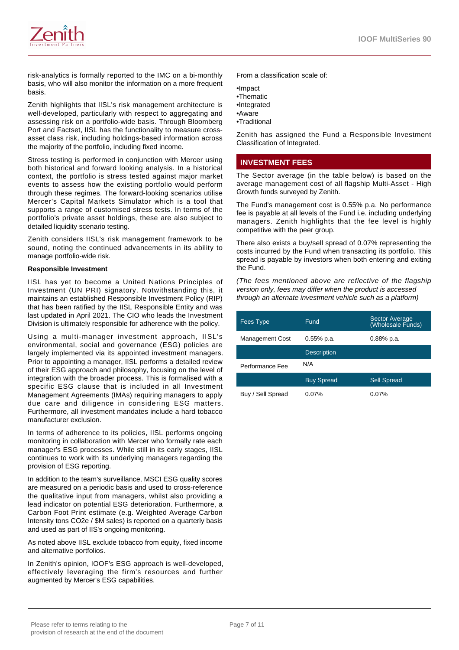

risk-analytics is formally reported to the IMC on a bi-monthly basis, who will also monitor the information on a more frequent basis.

Zenith highlights that IISL's risk management architecture is well-developed, particularly with respect to aggregating and assessing risk on a portfolio-wide basis. Through Bloomberg Port and Factset, IISL has the functionality to measure crossasset class risk, including holdings-based information across the majority of the portfolio, including fixed income.

Stress testing is performed in conjunction with Mercer using both historical and forward looking analysis. In a historical context, the portfolio is stress tested against major market events to assess how the existing portfolio would perform through these regimes. The forward-looking scenarios utilise Mercer's Capital Markets Simulator which is a tool that supports a range of customised stress tests. In terms of the portfolio's private asset holdings, these are also subject to detailed liquidity scenario testing.

Zenith considers IISL's risk management framework to be sound, noting the continued advancements in its ability to manage portfolio-wide risk.

#### **Responsible Investment**

IISL has yet to become a United Nations Principles of Investment (UN PRI) signatory. Notwithstanding this, it maintains an established Responsible Investment Policy (RIP) that has been ratified by the IISL Responsible Entity and was last updated in April 2021. The CIO who leads the Investment Division is ultimately responsible for adherence with the policy.

Using a multi-manager investment approach, IISL's environmental, social and governance (ESG) policies are largely implemented via its appointed investment managers. Prior to appointing a manager, IISL performs a detailed review of their ESG approach and philosophy, focusing on the level of integration with the broader process. This is formalised with a specific ESG clause that is included in all Investment Management Agreements (IMAs) requiring managers to apply due care and diligence in considering ESG matters. Furthermore, all investment mandates include a hard tobacco manufacturer exclusion.

In terms of adherence to its policies, IISL performs ongoing monitoring in collaboration with Mercer who formally rate each manager's ESG processes. While still in its early stages, IISL continues to work with its underlying managers regarding the provision of ESG reporting.

In addition to the team's surveillance, MSCI ESG quality scores are measured on a periodic basis and used to cross-reference the qualitative input from managers, whilst also providing a lead indicator on potential ESG deterioration. Furthermore, a Carbon Foot Print estimate (e.g. Weighted Average Carbon Intensity tons CO2e / \$M sales) is reported on a quarterly basis and used as part of IIS's ongoing monitoring.

As noted above IISL exclude tobacco from equity, fixed income and alternative portfolios.

In Zenith's opinion, IOOF's ESG approach is well-developed, effectively leveraging the firm's resources and further augmented by Mercer's ESG capabilities.

From a classification scale of:

•Impact

- •Thematic
- •Integrated
- •Aware
- •Traditional

Zenith has assigned the Fund a Responsible Investment Classification of Integrated.

# **INVESTMENT FEES**

The Sector average (in the table below) is based on the average management cost of all flagship Multi-Asset - High Growth funds surveyed by Zenith.

The Fund's management cost is 0.55% p.a. No performance fee is payable at all levels of the Fund i.e. including underlying managers. Zenith highlights that the fee level is highly competitive with the peer group.

There also exists a buy/sell spread of 0.07% representing the costs incurred by the Fund when transacting its portfolio. This spread is payable by investors when both entering and exiting the Fund.

(The fees mentioned above are reflective of the flagship version only, fees may differ when the product is accessed through an alternate investment vehicle such as a platform)

| Fees Type              | Fund               | <b>Sector Average</b><br>(Wholesale Funds) |
|------------------------|--------------------|--------------------------------------------|
| <b>Management Cost</b> | $0.55\%$ p.a.      | $0.88%$ p.a.                               |
|                        | <b>Description</b> |                                            |
| Performance Fee        | N/A                |                                            |
|                        | <b>Buy Spread</b>  | <b>Sell Spread</b>                         |
| Buy / Sell Spread      | $0.07\%$           | $0.07\%$                                   |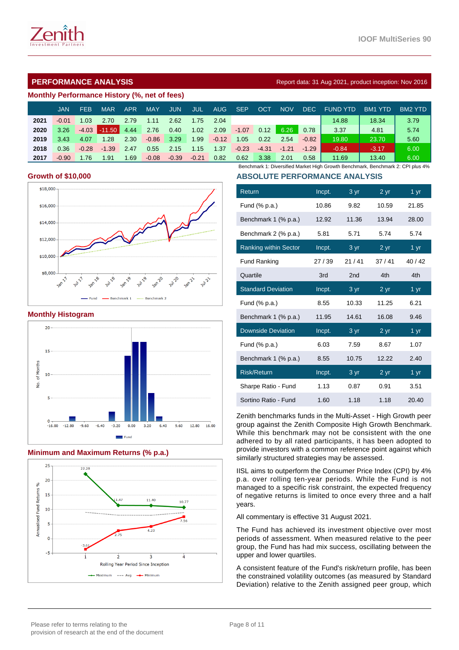

# **PERFORMANCE ANALYSIS Report data: 31 Aug 2021, product inception: Nov 2016**

#### **Monthly Performance History (%, net of fees)**

|      | JAN.    | <b>FEB</b> | <b>MAR</b> | <b>APR</b> | MAY \   | <b>JUN</b> | JUL.    | <b>AUG</b> | SEP     | <b>OCT</b> | <b>NOV</b> |         | DEC FUND YTD | BM1 YTD | BM2 YTD |
|------|---------|------------|------------|------------|---------|------------|---------|------------|---------|------------|------------|---------|--------------|---------|---------|
| 2021 | $-0.01$ | 1.03       | 2.70       | 2.79       | 1.11    | 2.62       | 1.75    | 2.04       |         |            |            |         | 14.88        | 18.34   | 3.79    |
| 2020 | 3.26    | $-4.03$    | $-11.50$   | 4.44       | 2.76    | 0.40       | 1.02    | 2.09       | $-1.07$ | 0.12       | 6.26       | 0.78    | 3.37         | 4.81    | 5.74    |
| 2019 | 3.43    | 4.07       | 1.28       | 2.30       | $-0.86$ | 3.29       | 1.99    | $-0.12$    | 1.05    | 0.22       | 2.54       | $-0.82$ | 19.80        | 23.70   | 5.60    |
| 2018 | 0.36    | $-0.28$    | $-1.39$    | 2.47       | 0.55    | 2.15       | 1.15    | 1.37       | $-0.23$ | $-4.31$    | $-1.21$    | $-1.29$ | $-0.84$      | $-3.17$ | 6.00    |
| 2017 | $-0.90$ | 1.76       | 1.91       | 1.69       | $-0.08$ | $-0.39$    | $-0.21$ | 0.82       | 0.62    | 3.38       | 2.01       | 0.58    | 11.69        | 13.40   | 6.00    |

### **Growth of \$10,000**



#### **Monthly Histogram**



# **Minimum and Maximum Returns (% p.a.)**



Benchmark 1: Diversified Market High Growth Benchmark, Benchmark 2: CPI plus 4% **ABSOLUTE PERFORMANCE ANALYSIS**

| Return                       | Incpt. | 3 yr            | 2 <sub>yr</sub> | 1 yr              |
|------------------------------|--------|-----------------|-----------------|-------------------|
| Fund $(\%$ p.a.)             | 10.86  | 9.82            | 10.59           | 21.85             |
| Benchmark 1 (% p.a.)         | 12.92  | 11.36           | 13.94           | 28.00             |
| Benchmark 2 (% p.a.)         | 5.81   | 5.71            | 5.74            | 5.74              |
| <b>Ranking within Sector</b> | Incpt. | 3 yr            | 2 yr            | $1 \,\mathrm{yr}$ |
| <b>Fund Ranking</b>          | 27/39  | 21/41           | 37/41           | 40/42             |
| Quartile                     | 3rd    | 2 <sub>nd</sub> | 4th             | 4th               |
| <b>Standard Deviation</b>    | Incpt. | 3 yr            | 2 <sub>yr</sub> | $1 \,\mathrm{yr}$ |
| Fund (% p.a.)                | 8.55   | 10.33           | 11.25           | 6.21              |
| Benchmark 1 (% p.a.)         | 11.95  | 14.61           | 16.08           | 9.46              |
| <b>Downside Deviation</b>    | Incpt. | 3 yr            | 2 yr            | 1 yr              |
| Fund $(\%$ p.a.)             | 6.03   | 7.59            | 8.67            | 1.07              |
| Benchmark 1 (% p.a.)         | 8.55   | 10.75           | 12.22           | 2.40              |
| <b>Risk/Return</b>           | Incpt. | 3 yr            | 2 <sub>yr</sub> | 1 yr              |
| Sharpe Ratio - Fund          | 1.13   | 0.87            | 0.91            | 3.51              |
| Sortino Ratio - Fund         | 1.60   | 1.18            | 1.18            | 20.40             |

Zenith benchmarks funds in the Multi-Asset - High Growth peer group against the Zenith Composite High Growth Benchmark. While this benchmark may not be consistent with the one adhered to by all rated participants, it has been adopted to provide investors with a common reference point against which similarly structured strategies may be assessed.

IISL aims to outperform the Consumer Price Index (CPI) by 4% p.a. over rolling ten-year periods. While the Fund is not managed to a specific risk constraint, the expected frequency of negative returns is limited to once every three and a half years.

All commentary is effective 31 August 2021.

The Fund has achieved its investment objective over most periods of assessment. When measured relative to the peer group, the Fund has had mix success, oscillating between the upper and lower quartiles.

A consistent feature of the Fund's risk/return profile, has been the constrained volatility outcomes (as measured by Standard Deviation) relative to the Zenith assigned peer group, which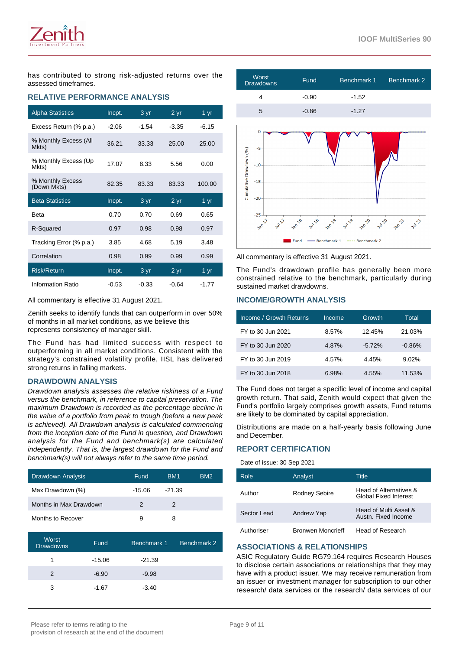has contributed to strong risk-adjusted returns over the assessed timeframes.

# **RELATIVE PERFORMANCE ANALYSIS**

| <b>Alpha Statistics</b>         | Incpt.  | 3 yr    | $2 \, yr$       | 1 $yr$            |
|---------------------------------|---------|---------|-----------------|-------------------|
| Excess Return (% p.a.)          | $-2.06$ | $-1.54$ | $-3.35$         | $-6.15$           |
| % Monthly Excess (All<br>Mkts)  | 36.21   | 33.33   | 25.00           | 25.00             |
| % Monthly Excess (Up<br>Mkts)   | 17.07   | 8.33    | 5.56            | 0.00              |
| % Monthly Excess<br>(Down Mkts) | 82.35   | 83.33   | 83.33           | 100.00            |
| <b>Beta Statistics</b>          | Incpt.  | 3 yr    | 2 <sub>yr</sub> | 1 $\overline{yr}$ |
| <b>Beta</b>                     | 0.70    | 0.70    | 0.69            | 0.65              |
| R-Squared                       | 0.97    | 0.98    | 0.98            | 0.97              |
| Tracking Error (% p.a.)         | 3.85    | 4.68    | 5.19            | 3.48              |
| Correlation                     | 0.98    | 0.99    | 0.99            | 0.99              |
| <b>Risk/Return</b>              | Incpt.  | 3 yr    | 2 <sub>yr</sub> | 1 yr              |
| Information Ratio               | $-0.53$ | $-0.33$ | $-0.64$         | $-1.77$           |

All commentary is effective 31 August 2021.

Zenith seeks to identify funds that can outperform in over 50% of months in all market conditions, as we believe this represents consistency of manager skill.

The Fund has had limited success with respect to outperforming in all market conditions. Consistent with the strategy's constrained volatility profile, IISL has delivered strong returns in falling markets.

#### **DRAWDOWN ANALYSIS**

Drawdown analysis assesses the relative riskiness of a Fund versus the benchmark, in reference to capital preservation. The maximum Drawdown is recorded as the percentage decline in the value of a portfolio from peak to trough (before a new peak is achieved). All Drawdown analysis is calculated commencing from the inception date of the Fund in question, and Drawdown analysis for the Fund and benchmark(s) are calculated independently. That is, the largest drawdown for the Fund and benchmark(s) will not always refer to the same time period.

| Drawdown Analysis      | Fund   | BM <sub>1</sub> | BM <sub>2</sub> |
|------------------------|--------|-----------------|-----------------|
| Max Drawdown (%)       | -15.06 | $-21.39$        |                 |
| Months in Max Drawdown | 2      | 2               |                 |
| Months to Recover      | 9      | 8               |                 |

| Worst<br><b>Drawdowns</b> | Fund     | Benchmark 1 | Benchmark 2 |
|---------------------------|----------|-------------|-------------|
|                           | $-15.06$ | $-21.39$    |             |
|                           | $-6.90$  | $-9.98$     |             |
| 3                         | -1.67    | $-3.40$     |             |



All commentary is effective 31 August 2021.

Fund

The Fund's drawdown profile has generally been more constrained relative to the benchmark, particularly during sustained market drawdowns.

Benchmark 1

Benchmark 2

# **INCOME/GROWTH ANALYSIS**

 $-25$ 

| Income / Growth Returns | Income   | Growth   | Total    |
|-------------------------|----------|----------|----------|
| FY to 30 Jun 2021       | $8.57\%$ | 12.45%   | 21.03%   |
| FY to 30 Jun 2020       | 4.87%    | $-5.72%$ | $-0.86%$ |
| FY to 30 Jun 2019       | 4.57%    | 4.45%    | 9.02%    |
| FY to 30 Jun 2018       | 6.98%    | 4.55%    | 11.53%   |

The Fund does not target a specific level of income and capital growth return. That said, Zenith would expect that given the Fund's portfolio largely comprises growth assets, Fund returns are likely to be dominated by capital appreciation.

Distributions are made on a half-yearly basis following June and December.

#### **REPORT CERTIFICATION**

Date of issue: 30 Sep 2021

| Role        | Analyst                  | Title                                                  |
|-------------|--------------------------|--------------------------------------------------------|
| Author      | <b>Rodney Sebire</b>     | Head of Alternatives &<br><b>Global Fixed Interest</b> |
| Sector Lead | Andrew Yap               | Head of Multi Asset &<br>Austn. Fixed Income           |
| Authoriser  | <b>Bronwen Moncrieff</b> | Head of Research                                       |

#### **ASSOCIATIONS & RELATIONSHIPS**

ASIC Regulatory Guide RG79.164 requires Research Houses to disclose certain associations or relationships that they may have with a product issuer. We may receive remuneration from an issuer or investment manager for subscription to our other research/ data services or the research/ data services of our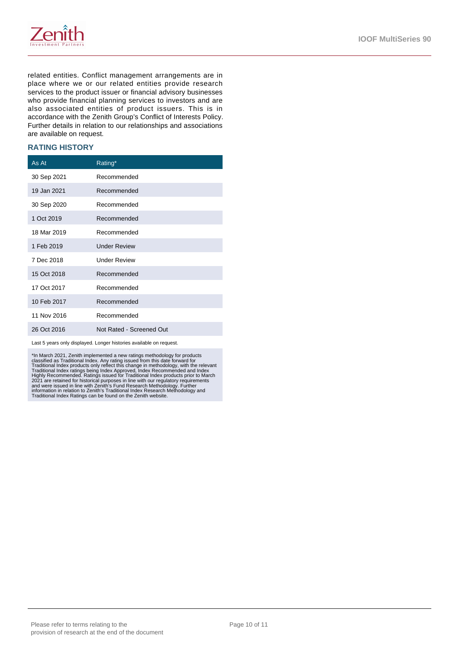

related entities. Conflict management arrangements are in place where we or our related entities provide research services to the product issuer or financial advisory businesses who provide financial planning services to investors and are also associated entities of product issuers. This is in accordance with the Zenith Group's Conflict of Interests Policy. Further details in relation to our relationships and associations are available on request.

#### **RATING HISTORY**

| As At       | Rating*                  |
|-------------|--------------------------|
| 30 Sep 2021 | Recommended              |
| 19 Jan 2021 | Recommended              |
| 30 Sep 2020 | Recommended              |
| 1 Oct 2019  | Recommended              |
| 18 Mar 2019 | Recommended              |
| 1 Feb 2019  | <b>Under Review</b>      |
| 7 Dec 2018  | <b>Under Review</b>      |
| 15 Oct 2018 | Recommended              |
| 17 Oct 2017 | Recommended              |
| 10 Feb 2017 | Recommended              |
| 11 Nov 2016 | Recommended              |
| 26 Oct 2016 | Not Rated - Screened Out |

Last 5 years only displayed. Longer histories available on request.

\*In March 2021, Zenith implemented a new ratings methodology for products<br>classified as Traditional Index. Any rating issued from this date forward for<br>Traditional Index roducts only reflect this change in methodology, wit